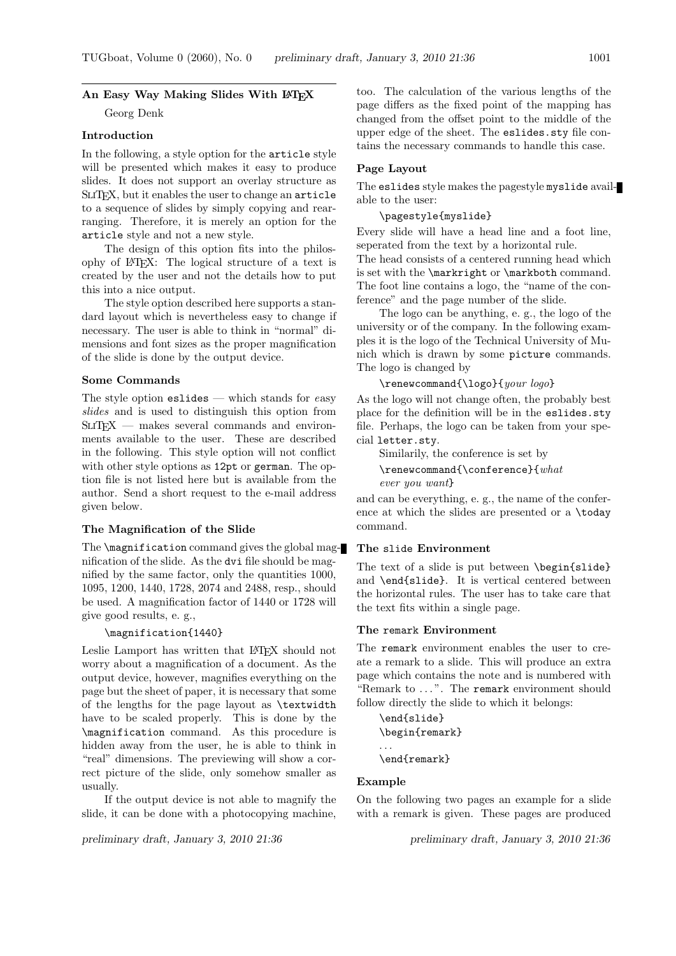# An Easy Way Making Slides With LATEX

Georg Denk

## Introduction

In the following, a style option for the article style will be presented which makes it easy to produce slides. It does not support an overlay structure as SliTEX, but it enables the user to change an article to a sequence of slides by simply copying and rearranging. Therefore, it is merely an option for the article style and not a new style.

The design of this option fits into the philosophy of LATEX: The logical structure of a text is created by the user and not the details how to put this into a nice output.

The style option described here supports a standard layout which is nevertheless easy to change if necessary. The user is able to think in "normal" dimensions and font sizes as the proper magnification of the slide is done by the output device.

# Some Commands

The style option eslides — which stands for easy slides and is used to distinguish this option from SLIT<sub>F</sub>X — makes several commands and environments available to the user. These are described in the following. This style option will not conflict with other style options as 12pt or german. The option file is not listed here but is available from the author. Send a short request to the e-mail address given below.

## The Magnification of the Slide

The  $\text{imagnitude}$  command gives the global magnification of the slide. As the dvi file should be magnified by the same factor, only the quantities 1000, 1095, 1200, 1440, 1728, 2074 and 2488, resp., should be used. A magnification factor of 1440 or 1728 will give good results, e. g.,

#### \magnification{1440}

Leslie Lamport has written that LATEX should not worry about a magnification of a document. As the output device, however, magnifies everything on the page but the sheet of paper, it is necessary that some of the lengths for the page layout as \textwidth have to be scaled properly. This is done by the \magnification command. As this procedure is hidden away from the user, he is able to think in "real" dimensions. The previewing will show a correct picture of the slide, only somehow smaller as usually.

If the output device is not able to magnify the slide, it can be done with a photocopying machine,

too. The calculation of the various lengths of the page differs as the fixed point of the mapping has changed from the offset point to the middle of the upper edge of the sheet. The eslides.sty file contains the necessary commands to handle this case.

# Page Layout

The eslides style makes the pagestyle myslide available to the user:

# \pagestyle{myslide}

Every slide will have a head line and a foot line, seperated from the text by a horizontal rule. The head consists of a centered running head which is set with the \markright or \markboth command. The foot line contains a logo, the "name of the conference" and the page number of the slide.

The logo can be anything, e. g., the logo of the university or of the company. In the following examples it is the logo of the Technical University of Munich which is drawn by some picture commands. The logo is changed by

## \renewcommand{\logo}{your logo}

As the logo will not change often, the probably best place for the definition will be in the eslides.sty file. Perhaps, the logo can be taken from your special letter.sty.

Similarily, the conference is set by

```
\renewcommand{\conference}{what
ever you want}
```
and can be everything, e. g., the name of the conference at which the slides are presented or a \today command.

## The slide Environment

The text of a slide is put between \begin{slide} and \end{slide}. It is vertical centered between the horizontal rules. The user has to take care that the text fits within a single page.

## The remark Environment

The remark environment enables the user to create a remark to a slide. This will produce an extra page which contains the note and is numbered with "Remark to ...". The remark environment should follow directly the slide to which it belongs:

```
\end{slide}
\begin{remark}
. . .
\end{remark}
```
#### Example

On the following two pages an example for a slide with a remark is given. These pages are produced

preliminary draft, January 3, 2010 21:36 preliminary draft, January 3, 2010 21:36